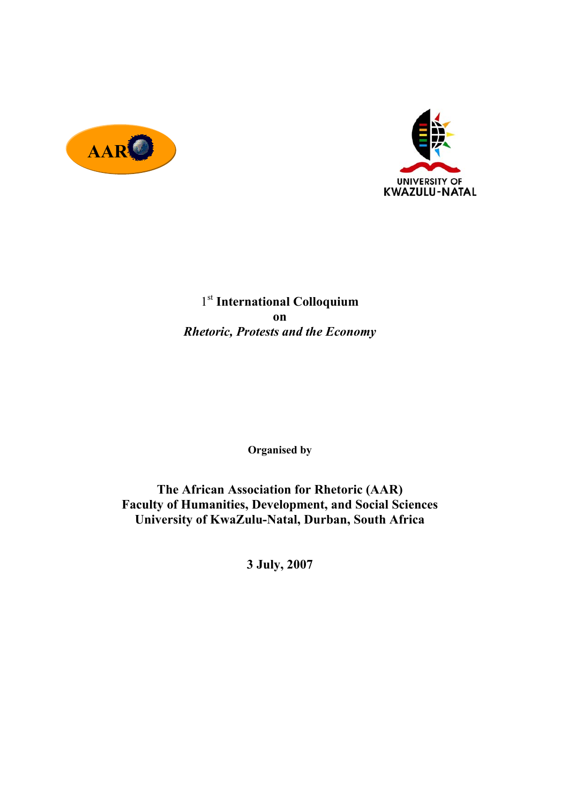



1st **International Colloquium on**  *Rhetoric, Protests and the Economy* 

**Organised by** 

**The African Association for Rhetoric (AAR) Faculty of Humanities, Development, and Social Sciences University of KwaZulu-Natal, Durban, South Africa** 

**3 July, 2007**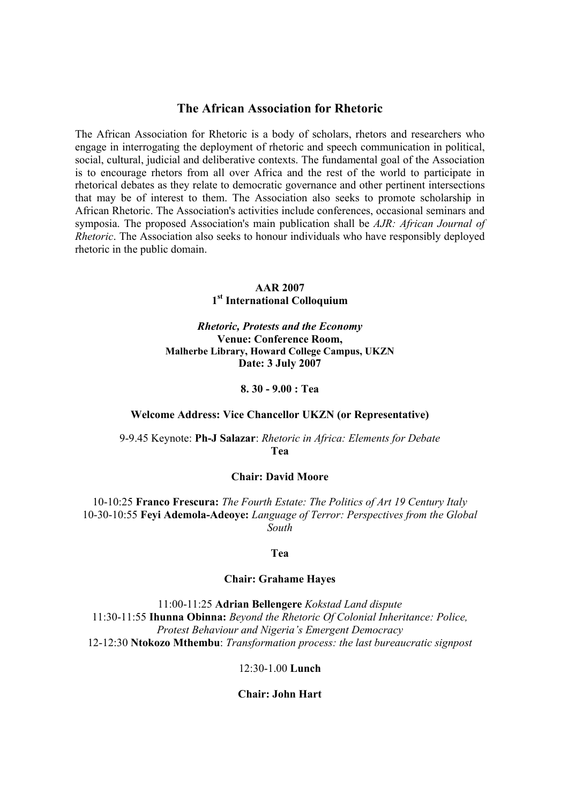# **The African Association for Rhetoric**

The African Association for Rhetoric is a body of scholars, rhetors and researchers who engage in interrogating the deployment of rhetoric and speech communication in political, social, cultural, judicial and deliberative contexts. The fundamental goal of the Association is to encourage rhetors from all over Africa and the rest of the world to participate in rhetorical debates as they relate to democratic governance and other pertinent intersections that may be of interest to them. The Association also seeks to promote scholarship in African Rhetoric. The Association's activities include conferences, occasional seminars and symposia. The proposed Association's main publication shall be *AJR: African Journal of Rhetoric*. The Association also seeks to honour individuals who have responsibly deployed rhetoric in the public domain.

# **AAR 2007 1st International Colloquium**

## *Rhetoric, Protests and the Economy*  **Venue: Conference Room, Malherbe Library, Howard College Campus, UKZN Date: 3 July 2007**

#### **8. 30 - 9.00 : Tea**

#### **Welcome Address: Vice Chancellor UKZN (or Representative)**

9-9.45 Keynote: **Ph-J Salazar**: *Rhetoric in Africa: Elements for Debate*  **Tea** 

## **Chair: David Moore**

10-10:25 **Franco Frescura:** *The Fourth Estate: The Politics of Art 19 Century Italy* 10-30-10:55 **Feyi Ademola-Adeoye:** *Language of Terror: Perspectives from the Global South* 

#### **Tea**

#### **Chair: Grahame Hayes**

11:00-11:25 **Adrian Bellengere** *Kokstad Land dispute* 11:30-11:55 **Ihunna Obinna:** *Beyond the Rhetoric Of Colonial Inheritance: Police, Protest Behaviour and Nigeria's Emergent Democracy*  12-12:30 **Ntokozo Mthembu**: *Transformation process: the last bureaucratic signpost* 

# 12:30-1.00 **Lunch**

# **Chair: John Hart**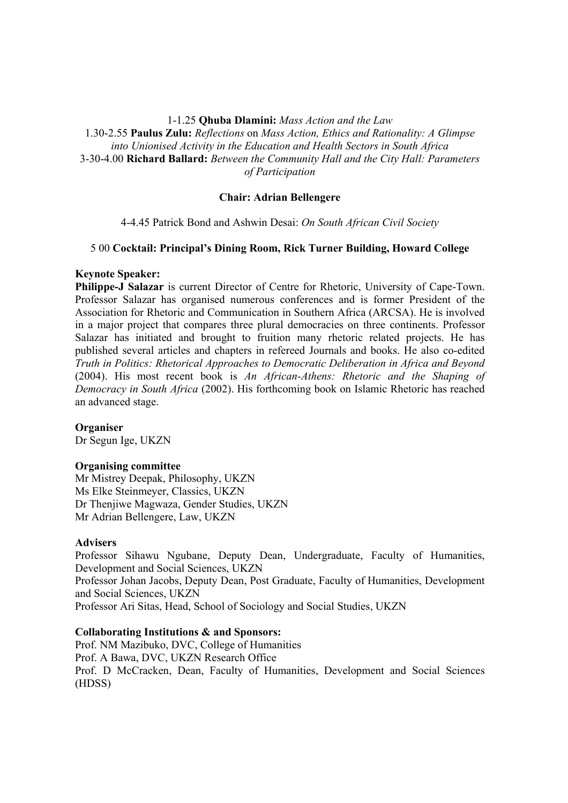## 1-1.25 **Qhuba Dlamini:** *Mass Action and the Law*

1.30-2.55 **Paulus Zulu:** *Reflections* on *Mass Action, Ethics and Rationality: A Glimpse into Unionised Activity in the Education and Health Sectors in South Africa* 3-30-4.00 **Richard Ballard:** *Between the Community Hall and the City Hall: Parameters of Participation*

# **Chair: Adrian Bellengere**

4-4.45 Patrick Bond and Ashwin Desai: *On South African Civil Society*

# 5 00 **Cocktail: Principal's Dining Room, Rick Turner Building, Howard College**

# **Keynote Speaker:**

**Philippe-J Salazar** is current Director of Centre for Rhetoric, University of Cape-Town. Professor Salazar has organised numerous conferences and is former President of the Association for Rhetoric and Communication in Southern Africa (ARCSA). He is involved in a major project that compares three plural democracies on three continents. Professor Salazar has initiated and brought to fruition many rhetoric related projects. He has published several articles and chapters in refereed Journals and books. He also co-edited *Truth in Politics: Rhetorical Approaches to Democratic Deliberation in Africa and Beyond* (2004). His most recent book is *An African-Athens: Rhetoric and the Shaping of Democracy in South Africa* (2002). His forthcoming book on Islamic Rhetoric has reached an advanced stage.

# **Organiser**

Dr Segun Ige, UKZN

## **Organising committee**

Mr Mistrey Deepak, Philosophy, UKZN Ms Elke Steinmeyer, Classics, UKZN Dr Thenjiwe Magwaza, Gender Studies, UKZN Mr Adrian Bellengere, Law, UKZN

## **Advisers**

Professor Sihawu Ngubane, Deputy Dean, Undergraduate, Faculty of Humanities, Development and Social Sciences, UKZN Professor Johan Jacobs, Deputy Dean, Post Graduate, Faculty of Humanities, Development and Social Sciences, UKZN Professor Ari Sitas, Head, School of Sociology and Social Studies, UKZN

## **Collaborating Institutions & and Sponsors:**

Prof. NM Mazibuko, DVC, College of Humanities Prof. A Bawa, DVC, UKZN Research Office Prof. D McCracken, Dean, Faculty of Humanities, Development and Social Sciences (HDSS)